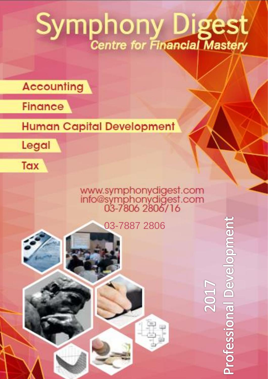# Symphony Digest

## **Accounting**



## **Human Capital Development**



Tax

www.symphonydigest.com<br>info@symphonydigest.com<br>03-7806 2806/16

03-7887 2806



**Professional Development** 

**ZO17**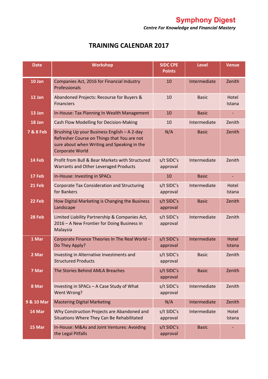*Centre For Knowledge and Financial Mastery*

#### **TRAINING CALENDAR 2017**

| <b>Date</b>          | <b>Workshop</b>                                                                                                                                                     | <b>SIDC CPE</b><br><b>Points</b> | <b>Level</b> | <b>Venue</b>    |
|----------------------|---------------------------------------------------------------------------------------------------------------------------------------------------------------------|----------------------------------|--------------|-----------------|
| 10 Jan               | Companies Act, 2016 for Financial Industry<br>Professionals                                                                                                         | 10                               | Intermediate | Zenith          |
| 12 Jan               | Abandoned Projects: Recourse for Buyers &<br><b>Financiers</b>                                                                                                      | 10                               | <b>Basic</b> | Hotel<br>Istana |
| 13 Jan               | In-House: Tax Planning In Wealth Management                                                                                                                         | 10                               | <b>Basic</b> |                 |
| 18 Jan               | Cash Flow Modelling for Decision-Making                                                                                                                             | 10                               | Intermediate | Zenith          |
| <b>7 &amp; 8 Feb</b> | Brushing Up your Business English - A 2-day<br>Refresher Course on Things that You are not<br>sure about when Writing and Speaking in the<br><b>Corporate World</b> | N/A                              | <b>Basic</b> | Zenith          |
| 14 Feb               | Profit from Bull & Bear Markets with Structured<br>Warrants and Other Leveraged Products                                                                            | s/t SIDC's<br>approval           | Intermediate | Zenith          |
| 17 Feb               | In-House: Investing in SPACs                                                                                                                                        | 10                               | <b>Basic</b> |                 |
| 21 Feb               | <b>Corporate Tax Consideration and Structuring</b><br>for Bankers                                                                                                   | s/t SIDC's<br>approval           | Intermediate | Hotel<br>Istana |
| 22 Feb               | How Digital Marketing is Changing the Business<br>Landscape                                                                                                         | s/t SIDC's<br>approval           | <b>Basic</b> | Zenith          |
| 28 Feb               | Limited Liability Partnership & Companies Act,<br>2016 - A New Frontier for Doing Business in<br>Malaysia                                                           | s/t SIDC's<br>approval           | Intermediate | Zenith          |
| 1 Mar                | Corporate Finance Theories In The Real World -<br>Do They Apply?                                                                                                    | s/t SIDC's<br>approval           | Intermediate | Hotel<br>Istana |
| 2 Mar                | Investing in Alternative Investments and<br><b>Structured Products</b>                                                                                              | s/t SIDC's<br>approval           | <b>Basic</b> | Zenith          |
| 7 Mar                | The Stories Behind AMLA Breaches                                                                                                                                    | s/t SIDC's<br>approval           | <b>Basic</b> | Zenith          |
| 8 Mar                | Investing in SPACs - A Case Study of What<br>Went Wrong?                                                                                                            | s/t SIDC's<br>approval           | Intermediate | Zenith          |
| 9 & 10 Mar           | <b>Mastering Digital Marketing</b>                                                                                                                                  | N/A                              | Intermediate | Zenith          |
| 14 Mar               | Why Construction Projects are Abandoned and<br>Situations Where They Can Be Rehabilitated                                                                           | s/t SIDC's<br>approval           | Intermediate | Hotel<br>Istana |
| 15 Mar               | In-House: M&As and Joint Ventures: Avoiding<br>the Legal Pitfalls                                                                                                   | s/t SIDC's<br>approval           | <b>Basic</b> |                 |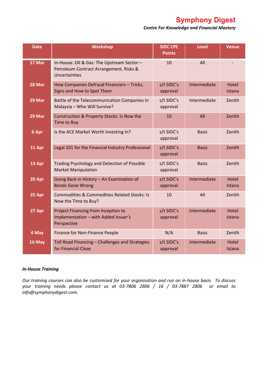**Symphony Digest** 

*Centre For Knowledge and Financial Mastery*

| <b>Date</b> | <b>Workshop</b>                                                                                        | <b>SIDC CPE</b><br><b>Points</b> | <b>Level</b> | <b>Venue</b>                  |
|-------------|--------------------------------------------------------------------------------------------------------|----------------------------------|--------------|-------------------------------|
| 17 Mar      | In-House: Oil & Gas: The Upstream Sector -<br>Petroleum Contract Arrangement, Risks &<br>Uncertainties | 10                               | All          |                               |
| 28 Mar      | How Companies Defraud Financiers - Tricks,<br>Signs and How to Spot Them                               | s/t SIDC's<br>approval           | Intermediate | Hotel<br>Istana               |
| 29 Mar      | Battle of the Telecommunication Companies in<br>Malaysia - Who Will Survive?                           | s/t SIDC's<br>approval           | Intermediate | Zenith                        |
| 29 Mar      | Construction & Property Stocks: Is Now the<br>Time to Buy                                              | 10                               | All          | Zenith                        |
| 6 Apr       | Is the ACE Market Worth Investing In?                                                                  | s/t SIDC's<br>approval           | <b>Basic</b> | Zenith                        |
| 11 Apr      | Legal 101 for the Financial Industry Professional                                                      | s/t SIDC's<br>approval           | <b>Basic</b> | Zenith                        |
| 13 Apr      | Trading Psychology and Detection of Possible<br><b>Market Manipulation</b>                             | s/t SIDC's<br>approval           | <b>Basic</b> | Zenith                        |
| 20 Apr      | Going Back in History - An Examination of<br><b>Bonds Gone Wrong</b>                                   | s/t SIDC's<br>approval           | Intermediate | <b>Hotel</b><br><b>Istana</b> |
| 25 Apr      | <b>Commodities &amp; Commodities Related Stocks: Is</b><br>Now the Time to Buy?                        | 10                               | All          | Zenith                        |
| 27 Apr      | Project Financing from Inception to<br>Implementation - with Added Issuer's<br>Perspective             | s/t SIDC's<br>approval           | Intermediate | <b>Hotel</b><br>Istana        |
| 4 May       | Finance for Non-Finance People                                                                         | N/A                              | <b>Basic</b> | Zenith                        |
| 16 May      | Toll Road Financing - Challenges and Strategies<br>for Financial Close                                 | s/t SIDC's<br>approval           | Intermediate | Hotel<br>Istana               |

#### *In-House Training*

*Our training courses can also be customised for your organisation and run on in-house basis. To discuss your training needs please contact us at 03-7806 2806 / 16 / 03-7887 2806 or email to info@symphonydigest.com.*